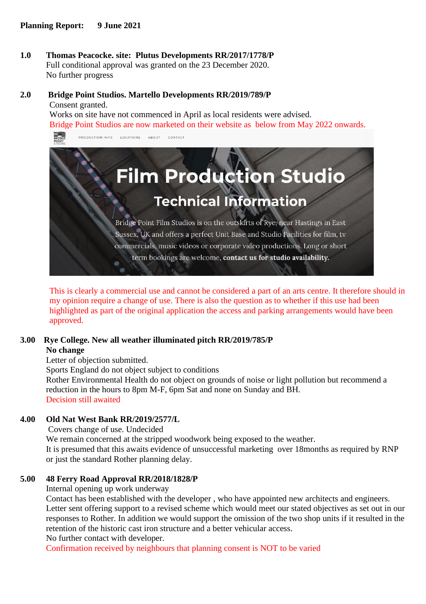**1.0 Thomas Peacocke. site: Plutus Developments RR/2017/1778/P** Full conditional approval was granted on the 23 December 2020. No further progress

#### **2.0 Bridge Point Studios. Martello Developments RR/2019/789/P** Consent granted.

Works on site have not commenced in April as local residents were advised. Bridge Point Studios are now marketed on their website as below from May 2022 onwards.



This is clearly a commercial use and cannot be considered a part of an arts centre. It therefore should in my opinion require a change of use. There is also the question as to whether if this use had been highlighted as part of the original application the access and parking arrangements would have been approved.

### **3.00 Rye College. New all weather illuminated pitch RR/2019/785/P**

## **No change**

Letter of objection submitted.

Sports England do not object subject to conditions

Rother Environmental Health do not object on grounds of noise or light pollution but recommend a reduction in the hours to 8pm M-F, 6pm Sat and none on Sunday and BH. Decision still awaited

# **4.00 Old Nat West Bank RR/2019/2577/L**

Covers change of use. Undecided We remain concerned at the stripped woodwork being exposed to the weather. It is presumed that this awaits evidence of unsuccessful marketing over 18months as required by RNP or just the standard Rother planning delay.

### **5.00 48 Ferry Road Approval RR/2018/1828/P**

Internal opening up work underway

Contact has been established with the developer , who have appointed new architects and engineers. Letter sent offering support to a revised scheme which would meet our stated objectives as set out in our responses to Rother. In addition we would support the omission of the two shop units if it resulted in the retention of the historic cast iron structure and a better vehicular access. No further contact with developer.

Confirmation received by neighbours that planning consent is NOT to be varied